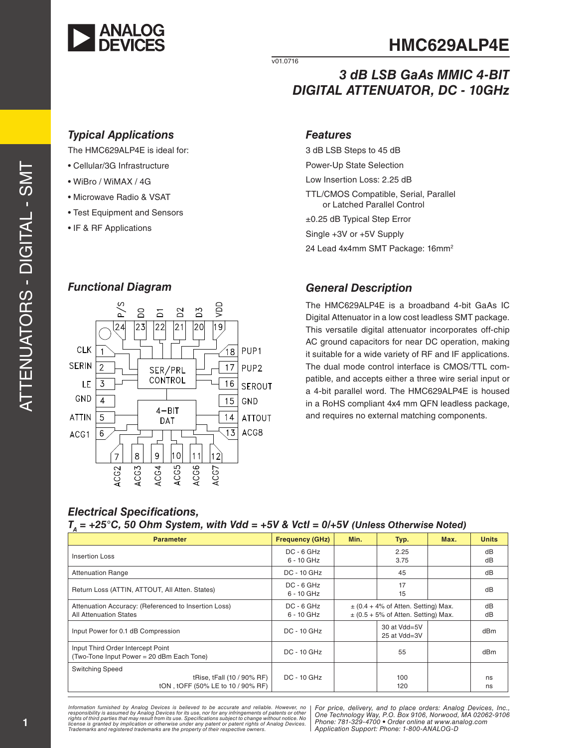

v01.0716

## *3 dB LSB GaAs MMIC 4-BIT DIGITAL ATTENUATOR, DC - 10GHz*

### *Typical Applications Features*

The HMC629ALP4E is ideal for:

- Cellular/3G Infrastructure
- WiBro / WiMAX / 4G
- Microwave Radio & VSAT
- Test Equipment and Sensors
- IF & RF Applications

### *Functional Diagram*



3 dB LSB Steps to 45 dB Power-Up State Selection Low Insertion Loss: 2.25 dB TTL/CMOS Compatible, Serial, Parallel or Latched Parallel Control ±0.25 dB Typical Step Error Single +3V or +5V Supply 24 Lead 4x4mm SMT Package: 16mm<sup>2</sup>

#### *General Description*

The HMC629ALP4E is a broadband 4-bit GaAs IC Digital Attenuator in a low cost leadless SMT package. This versatile digital attenuator incorporates off-chip AC ground capacitors for near DC operation, making it suitable for a wide variety of RF and IF applications. The dual mode control interface is CMOS/TTL compatible, and accepts either a three wire serial input or a 4-bit parallel word. The HMC629ALP4E is housed in a RoHS compliant 4x4 mm QFN leadless package, and requires no external matching components.

### *Electrical Specifications,*

#### $T_a$  = +25°C, 50 Ohm System, with Vdd = +5V & Vctl = 0/+5V (Unless Otherwise Noted)

| <b>Parameter</b>                                                                          | <b>Frequency (GHz)</b>     | Min. | Typ.                                                                               | Max. | <b>Units</b>    |
|-------------------------------------------------------------------------------------------|----------------------------|------|------------------------------------------------------------------------------------|------|-----------------|
| Insertion Loss                                                                            | $DC - 6 GHz$<br>6 - 10 GHz |      | 2.25<br>3.75                                                                       |      | dB<br>dB        |
| <b>Attenuation Range</b>                                                                  | <b>DC - 10 GHz</b>         |      | 45                                                                                 |      | dB              |
| Return Loss (ATTIN, ATTOUT, All Atten. States)                                            | $DC - 6 GHz$<br>6 - 10 GHz |      | 17<br>15                                                                           |      | dB              |
| Attenuation Accuracy: (Referenced to Insertion Loss)<br><b>All Attenuation States</b>     | $DC - 6 GHz$<br>6 - 10 GHz |      | $\pm$ (0.4 + 4% of Atten. Setting) Max.<br>$\pm$ (0.5 + 5% of Atten. Setting) Max. |      | dB<br>dB        |
| Input Power for 0.1 dB Compression                                                        | $DC - 10$ GHz              |      | $30$ at Vdd= $5V$<br>25 at Vdd=3V                                                  |      | dB <sub>m</sub> |
| Input Third Order Intercept Point<br>(Two-Tone Input Power = 20 dBm Each Tone)            | $DC - 10$ $GHz$            |      | 55                                                                                 |      | dB <sub>m</sub> |
| <b>Switching Speed</b><br>tRise, tFall (10 / 90% RF)<br>tON, tOFF (50% LE to 10 / 90% RF) | $DC - 10$ $GHz$            |      | 100<br>120                                                                         |      | ns<br>ns        |

Information furnished by Analog Devices is believed to be accurate and reliable. However, no<br>responsibility is assumed by Analog Devices for its use, nor for any infringements of patents or other<br>rights of third parties th license is granted by implication or otherwise under any patent or patent rights of Analog Devices.<br>Trademarks and registered trademarks are the property of their respective owners.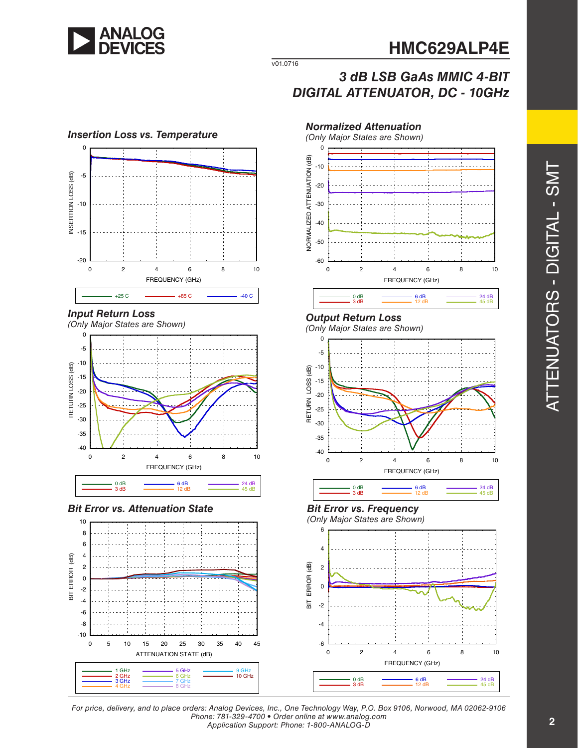

v01.0716

# *3 dB LSB GaAs MMIC 4-BIT DIGITAL ATTENUATOR, DC - 10GHz*











### *Output Return Loss*

*(Only Major States are Shown)*



6 dB<br>12 dB<br>45 dB

### *Bit Error vs. Frequency*

*(Only Major States are Shown)*



*For price, delivery, and to place orders: Analog Devices, Inc., One Technology Way, P.O. Box 9106, Norwood, MA 02062-9106 Phone: 781-329-4700 • Order online at www.analog.com Application Support: Phone: 1-800-ANALOG-D*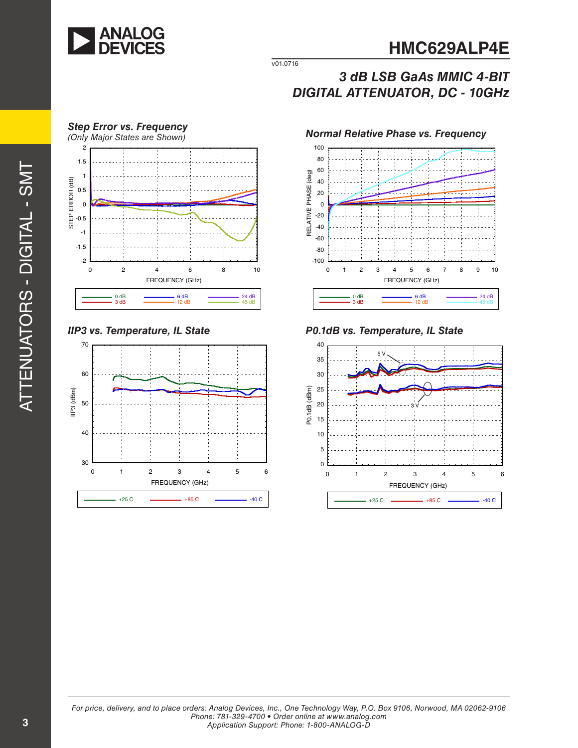

v01.0716

### *3 dB LSB GaAs MMIC 4-BIT DIGITAL ATTENUATOR, DC - 10GHz*







*IIP3 vs. Temperature, IL State P0.1dB vs. Temperature, IL State*

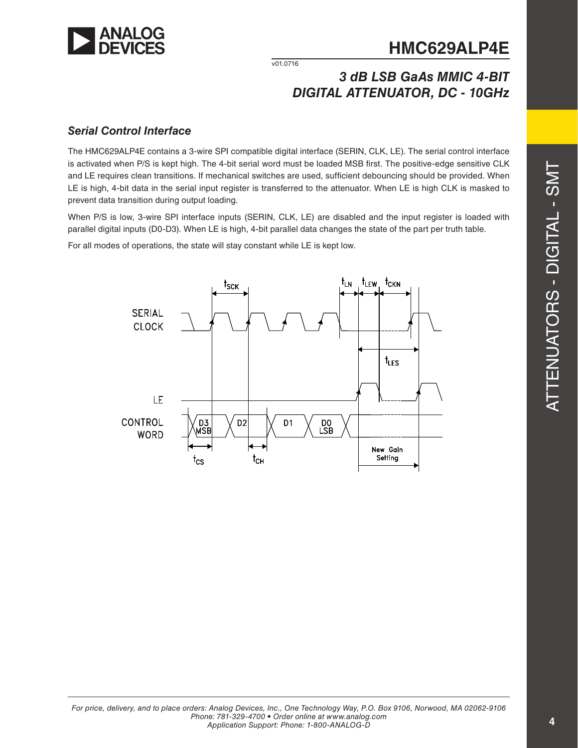

v01.0716

### *3 dB LSB GaAs MMIC 4-BIT DIGITAL ATTENUATOR, DC - 10GHz*

### *Serial Control Interface*

The HMC629ALP4E contains a 3-wire SPI compatible digital interface (SERIN, CLK, LE). The serial control interface is activated when P/S is kept high. The 4-bit serial word must be loaded MSB first. The positive-edge sensitive CLK and LE requires clean transitions. If mechanical switches are used, sufficient debouncing should be provided. When LE is high, 4-bit data in the serial input register is transferred to the attenuator. When LE is high CLK is masked to prevent data transition during output loading.

When P/S is low, 3-wire SPI interface inputs (SERIN, CLK, LE) are disabled and the input register is loaded with parallel digital inputs (D0-D3). When LE is high, 4-bit parallel data changes the state of the part per truth table.

For all modes of operations, the state will stay constant while LE is kept low.

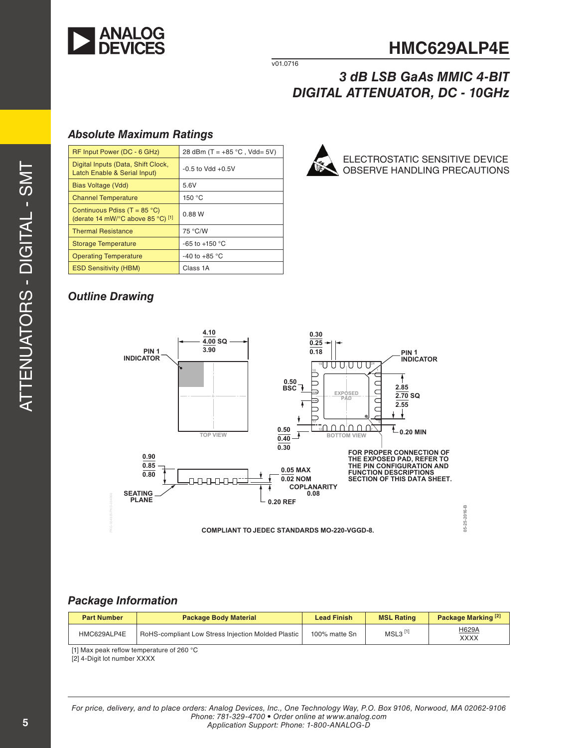

v01.0716

### *3 dB LSB GaAs MMIC 4-BIT DIGITAL ATTENUATOR, DC - 10GHz*

### *Absolute Maximum Ratings*

| RF Input Power (DC - 6 GHz)                                                | 28 dBm (T = $+85$ °C, Vdd= 5V) |
|----------------------------------------------------------------------------|--------------------------------|
| Digital Inputs (Data, Shift Clock,<br>Latch Enable & Serial Input)         | $-0.5$ to Vdd $+0.5V$          |
| Bias Voltage (Vdd)                                                         | 5.6V                           |
| <b>Channel Temperature</b>                                                 | 150 °C                         |
| Continuous Pdiss (T = $85^{\circ}$ C)<br>(derate 14 mW/°C above 85 °C) [1] | 0.88 W                         |
| <b>Thermal Resistance</b>                                                  | 75 °C/W                        |
| <b>Storage Temperature</b>                                                 | -65 to +150 $^{\circ}$ C       |
| <b>Operating Temperature</b>                                               | -40 to +85 $^{\circ}$ C        |
| <b>ESD Sensitivity (HBM)</b>                                               | Class 1A                       |



### *Outline Drawing*



### *Package Information*

| <b>Part Number</b> | <b>Package Body Material</b>                              | <b>Lead Finish</b> | <b>MSL Rating</b>     | Package Marking <sup>[2]</sup> |
|--------------------|-----------------------------------------------------------|--------------------|-----------------------|--------------------------------|
| HMC629ALP4E        | <b>RoHS-compliant Low Stress Injection Molded Plastic</b> | 100% matte Sn      | $MSL3$ <sup>[1]</sup> | H629A<br>XXXX                  |

[1] Max peak reflow temperature of 260 °C

[2] 4-Digit lot number XXXX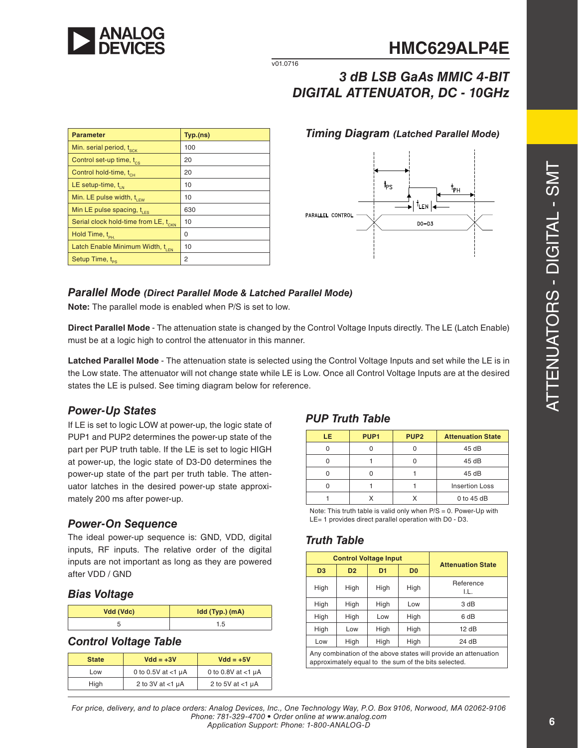

v01.0716

# *3 dB LSB GaAs MMIC 4-BIT DIGITAL ATTENUATOR, DC - 10GHz*

| <b>Parameter</b>                                 | Typ.(ns) |
|--------------------------------------------------|----------|
| Min. serial period, t <sub>sck</sub>             | 100      |
| Control set-up time, t <sub>cs</sub>             | 20       |
| Control hold-time, t <sub>cH</sub>               | 20       |
| LE setup-time, $t_{\text{in}}$                   | 10       |
| Min. LE pulse width, t <sub>LEW</sub>            | 10       |
| Min LE pulse spacing, $t_{\text{LES}}$           | 630      |
| Serial clock hold-time from LE, t <sub>CKN</sub> | 10       |
| Hold Time, t <sub>PH.</sub>                      | 0        |
| Latch Enable Minimum Width, t <sub>LEN</sub>     | 10       |
| Setup Time, t <sub>ps</sub>                      | 2        |

*Timing Diagram (Latched Parallel Mode)*



### *Parallel Mode (Direct Parallel Mode & Latched Parallel Mode)*

**Note:** The parallel mode is enabled when P/S is set to low.

**Direct Parallel Mode** - The attenuation state is changed by the Control Voltage Inputs directly. The LE (Latch Enable) must be at a logic high to control the attenuator in this manner.

**Latched Parallel Mode** - The attenuation state is selected using the Control Voltage Inputs and set while the LE is in the Low state. The attenuator will not change state while LE is Low. Once all Control Voltage Inputs are at the desired states the LE is pulsed. See timing diagram below for reference.

### *Power-Up States*

If LE is set to logic LOW at power-up, the logic state of PUP1 and PUP2 determines the power-up state of the part per PUP truth table. If the LE is set to logic HIGH at power-up, the logic state of D3-D0 determines the power-up state of the part per truth table. The attenuator latches in the desired power-up state approximately 200 ms after power-up.

### *Power-On Sequence*

The ideal power-up sequence is: GND, VDD, digital inputs, RF inputs. The relative order of the digital inputs are not important as long as they are powered after VDD / GND

#### *Bias Voltage*

| Vdd (Vdc) | Idd (Typ.) (mA) |
|-----------|-----------------|
|           |                 |

### *Control Voltage Table*

| <b>State</b> | $Vdd = +3V$           | $Vdd = +5V$          |
|--------------|-----------------------|----------------------|
| Low          | 0 to 0.5V at $<$ 1 µA | 0 to 0.8V at $<1$ µA |
| High         | 2 to 3V at $<$ 1 µA   | 2 to 5V at $<$ 1 µA  |

### *PUP Truth Table*

| LE. | PUP <sub>1</sub> | PUP <sub>2</sub> | <b>Attenuation State</b> |
|-----|------------------|------------------|--------------------------|
|     |                  |                  | 45dB                     |
|     |                  |                  | 45dB                     |
|     |                  |                  | 45 dB                    |
|     |                  |                  | <b>Insertion Loss</b>    |
|     |                  |                  | $0$ to 45 dB             |

Note: This truth table is valid only when P/S = 0. Power-Up with LE= 1 provides direct parallel operation with D0 - D3.

### *Truth Table*

| <b>Control Voltage Input</b>                                                                                            |                |      | <b>Attenuation State</b> |                   |  |
|-------------------------------------------------------------------------------------------------------------------------|----------------|------|--------------------------|-------------------|--|
| D <sub>3</sub>                                                                                                          | D <sub>2</sub> | D1   | D <sub>0</sub>           |                   |  |
| High                                                                                                                    | High           | High | High                     | Reference<br>I.L. |  |
| High                                                                                                                    | High           | High | Low                      | 3 dB              |  |
| High                                                                                                                    | High           | Low  | High                     | 6 dB              |  |
| High                                                                                                                    | Low            | High | High                     | 12dB              |  |
| Low                                                                                                                     | High           | High | High                     | 24 dB             |  |
| Any combination of the above states will provide an attenuation<br>approximately equal to the sum of the bits selected. |                |      |                          |                   |  |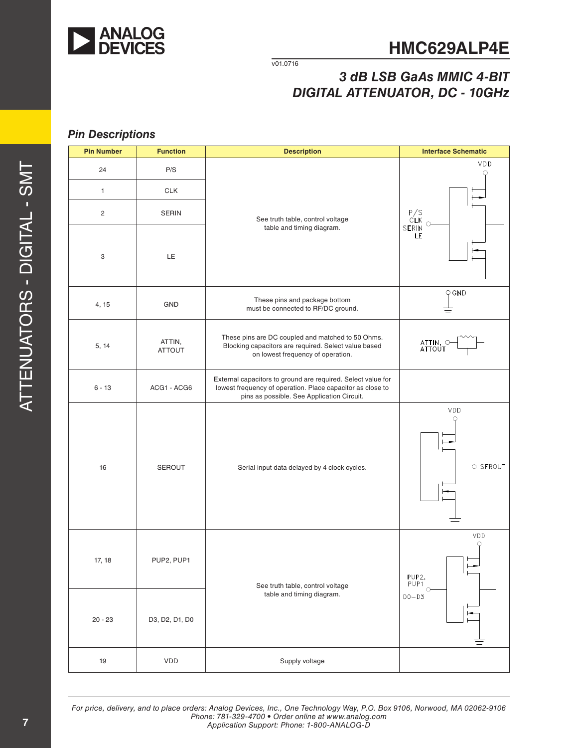

v01.0716

## *3 dB LSB GaAs MMIC 4-BIT DIGITAL ATTENUATOR, DC - 10GHz*

### *Pin Descriptions*

| <b>Pin Number</b> | <b>Function</b>         | <b>Description</b>                                                                                                                                                       | <b>Interface Schematic</b>                 |  |
|-------------------|-------------------------|--------------------------------------------------------------------------------------------------------------------------------------------------------------------------|--------------------------------------------|--|
| 24                | P/S                     |                                                                                                                                                                          | VDD                                        |  |
| $\mathbf{1}$      | <b>CLK</b>              |                                                                                                                                                                          |                                            |  |
| $\overline{c}$    | <b>SERIN</b>            | See truth table, control voltage                                                                                                                                         | P/S<br>CLK<br>SERIN<br>C                   |  |
| 3                 | LE                      | table and timing diagram.                                                                                                                                                | LE                                         |  |
| 4, 15             | GND                     | These pins and package bottom<br>must be connected to RF/DC ground.                                                                                                      | $Q$ GND                                    |  |
| 5, 14             | ATTIN,<br><b>ATTOUT</b> | These pins are DC coupled and matched to 50 Ohms.<br>Blocking capacitors are required. Select value based<br>on lowest frequency of operation.                           | ATTIN,<br>ATTOUT                           |  |
| $6 - 13$          | ACG1 - ACG6             | External capacitors to ground are required. Select value for<br>lowest frequency of operation. Place capacitor as close to<br>pins as possible. See Application Circuit. |                                            |  |
| 16                | <b>SEROUT</b>           | Serial input data delayed by 4 clock cycles.                                                                                                                             | VDD<br>O<br>O SEROUT                       |  |
| 17, 18            | PUP2, PUP1              | See truth table, control voltage                                                                                                                                         | VDD<br>O<br>PUP2,<br>PUP <sub>1</sub><br>Ω |  |
| $20 - 23$         | D3, D2, D1, D0          | table and timing diagram.                                                                                                                                                | $D0-D3$                                    |  |
| 19                | VDD                     | Supply voltage                                                                                                                                                           |                                            |  |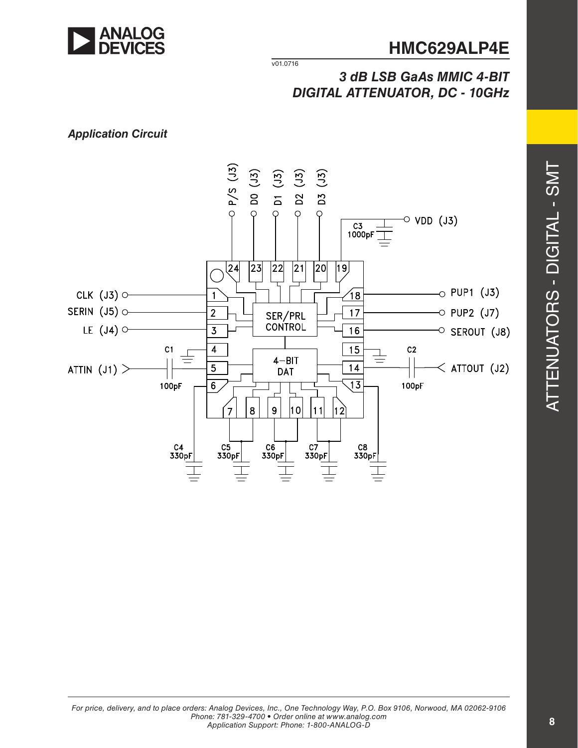

v01.0716

### *3 dB LSB GaAs MMIC 4-BIT DIGITAL ATTENUATOR, DC - 10GHz*

### *Application Circuit*